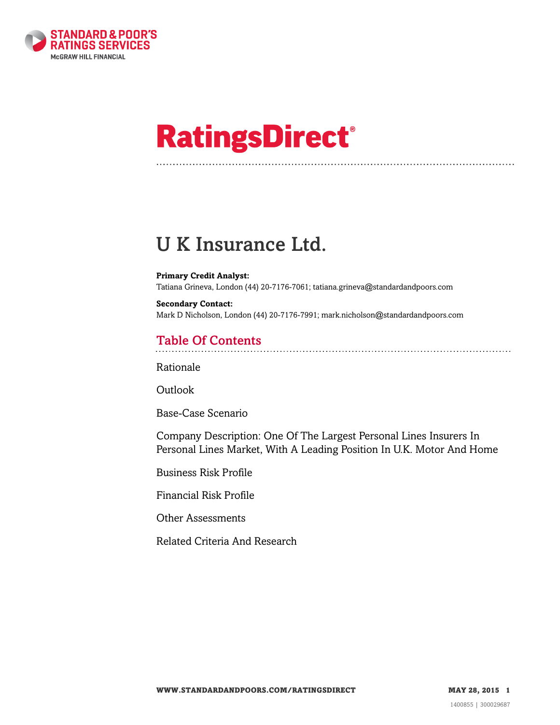

# **RatingsDirect®**

# U K Insurance Ltd.

#### **Primary Credit Analyst:**

Tatiana Grineva, London (44) 20-7176-7061; tatiana.grineva@standardandpoors.com

**Secondary Contact:** Mark D Nicholson, London (44) 20-7176-7991; mark.nicholson@standardandpoors.com

# Table Of Contents

[Rationale](#page-1-0)

Outlook

[Base-Case Scenario](#page-2-0)

[Company Description: One Of The Largest Personal Lines Insurers In](#page-3-0) [Personal Lines Market, With A Leading Position In U.K. Motor And Home](#page-3-0)

[Business Risk Profile](#page-3-1)

[Financial Risk Profile](#page-4-0)

[Other Assessments](#page-7-0)

[Related Criteria And Research](#page-8-0)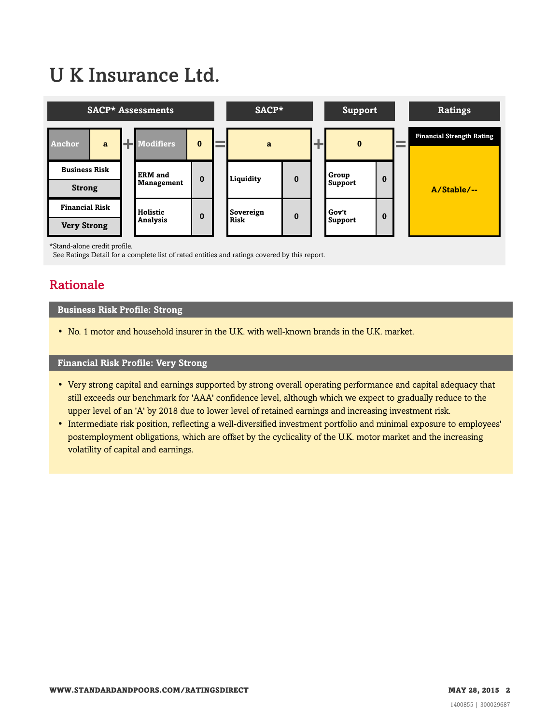# U K Insurance Ltd.



\*Stand-alone credit profile.

<span id="page-1-0"></span>See Ratings Detail for a complete list of rated entities and ratings covered by this report.

# Rationale

#### **Business Risk Profile: Strong**

• No. 1 motor and household insurer in the U.K. with well-known brands in the U.K. market.

#### **Financial Risk Profile: Very Strong**

- Very strong capital and earnings supported by strong overall operating performance and capital adequacy that still exceeds our benchmark for 'AAA' confidence level, although which we expect to gradually reduce to the upper level of an 'A' by 2018 due to lower level of retained earnings and increasing investment risk.
- Intermediate risk position, reflecting a well-diversified investment portfolio and minimal exposure to employees' postemployment obligations, which are offset by the cyclicality of the U.K. motor market and the increasing volatility of capital and earnings.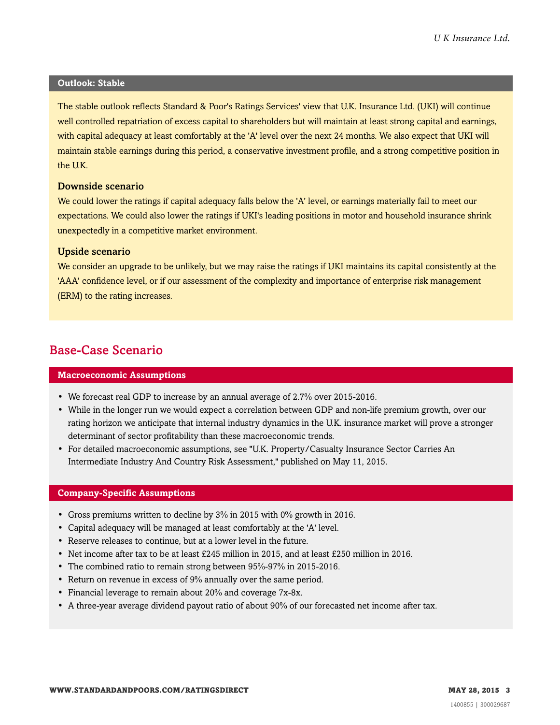#### **Outlook: Stable**

The stable outlook reflects Standard & Poor's Ratings Services' view that U.K. Insurance Ltd. (UKI) will continue well controlled repatriation of excess capital to shareholders but will maintain at least strong capital and earnings, with capital adequacy at least comfortably at the 'A' level over the next 24 months. We also expect that UKI will maintain stable earnings during this period, a conservative investment profile, and a strong competitive position in the U.K.

#### Downside scenario

We could lower the ratings if capital adequacy falls below the 'A' level, or earnings materially fail to meet our expectations. We could also lower the ratings if UKI's leading positions in motor and household insurance shrink unexpectedly in a competitive market environment.

#### Upside scenario

We consider an upgrade to be unlikely, but we may raise the ratings if UKI maintains its capital consistently at the 'AAA' confidence level, or if our assessment of the complexity and importance of enterprise risk management (ERM) to the rating increases.

### <span id="page-2-0"></span>Base-Case Scenario

#### **Macroeconomic Assumptions**

- We forecast real GDP to increase by an annual average of 2.7% over 2015-2016.
- While in the longer run we would expect a correlation between GDP and non-life premium growth, over our rating horizon we anticipate that internal industry dynamics in the U.K. insurance market will prove a stronger determinant of sector profitability than these macroeconomic trends.
- For detailed macroeconomic assumptions, see "U.K. Property/Casualty Insurance Sector Carries An Intermediate Industry And Country Risk Assessment," published on May 11, 2015.

#### **Company-Specific Assumptions**

- Gross premiums written to decline by 3% in 2015 with 0% growth in 2016.
- Capital adequacy will be managed at least comfortably at the 'A' level.
- Reserve releases to continue, but at a lower level in the future.
- Net income after tax to be at least £245 million in 2015, and at least £250 million in 2016.
- The combined ratio to remain strong between 95%-97% in 2015-2016.
- Return on revenue in excess of 9% annually over the same period.
- Financial leverage to remain about 20% and coverage 7x-8x.
- A three-year average dividend payout ratio of about 90% of our forecasted net income after tax.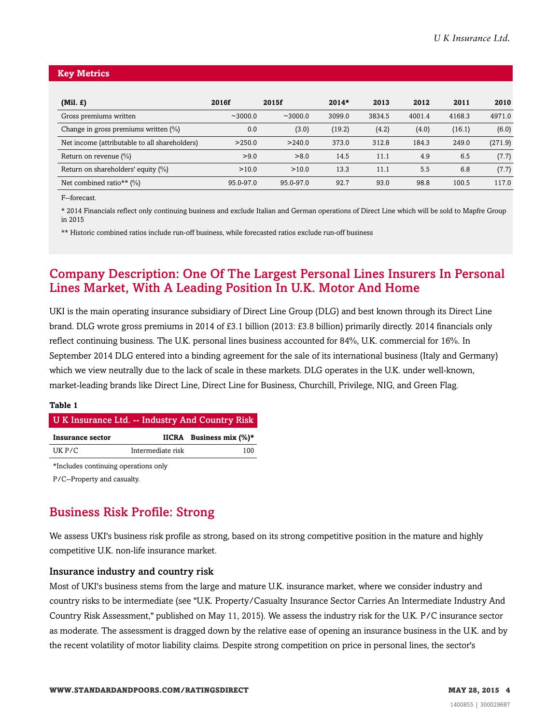#### **Key Metrics**

| $(Mil. \mathcal{L})$                          | 2016f     | 2015f     | $2014*$ | 2013   | 2012   | 2011   | 2010    |
|-----------------------------------------------|-----------|-----------|---------|--------|--------|--------|---------|
| Gross premiums written                        | ~1000.0   | ~1000.0   | 3099.0  | 3834.5 | 4001.4 | 4168.3 | 4971.0  |
| Change in gross premiums written (%)          | 0.0       | (3.0)     | (19.2)  | (4.2)  | (4.0)  | (16.1) | (6.0)   |
| Net income (attributable to all shareholders) | >250.0    | >240.0    | 373.0   | 312.8  | 184.3  | 249.0  | (271.9) |
| Return on revenue $(\%)$                      | >9.0      | >8.0      | 14.5    | 11.1   | 4.9    | 6.5    | (7.7)   |
| Return on shareholders' equity (%)            | >10.0     | >10.0     | 13.3    | 11.1   | 5.5    | 6.8    | (7.7)   |
| Net combined ratio** $(\% )$                  | 95.0-97.0 | 95.0-97.0 | 92.7    | 93.0   | 98.8   | 100.5  | 117.0   |

F--forecast.

\* 2014 Financials reflect only continuing business and exclude Italian and German operations of Direct Line which will be sold to Mapfre Group in 2015

\*\* Historic combined ratios include run-off business, while forecasted ratios exclude run-off business

## <span id="page-3-0"></span>Company Description: One Of The Largest Personal Lines Insurers In Personal Lines Market, With A Leading Position In U.K. Motor And Home

UKI is the main operating insurance subsidiary of Direct Line Group (DLG) and best known through its Direct Line brand. DLG wrote gross premiums in 2014 of £3.1 billion (2013: £3.8 billion) primarily directly. 2014 financials only reflect continuing business. The U.K. personal lines business accounted for 84%, U.K. commercial for 16%. In September 2014 DLG entered into a binding agreement for the sale of its international business (Italy and Germany) which we view neutrally due to the lack of scale in these markets. DLG operates in the U.K. under well-known, market-leading brands like Direct Line, Direct Line for Business, Churchill, Privilege, NIG, and Green Flag.

#### **Table 1**

#### U K Insurance Ltd. -- Industry And Country Risk

| Insurance sector |                   | IICRA Business mix $(\%)^*$ |
|------------------|-------------------|-----------------------------|
| UK P/C           | Intermediate risk | 100                         |

\*Includes continuing operations only

<span id="page-3-1"></span>P/C--Property and casualty.

# Business Risk Profile: Strong

We assess UKI's business risk profile as strong, based on its strong competitive position in the mature and highly competitive U.K. non-life insurance market.

#### Insurance industry and country risk

Most of UKI's business stems from the large and mature U.K. insurance market, where we consider industry and country risks to be intermediate (see "U.K. Property/Casualty Insurance Sector Carries An Intermediate Industry And Country Risk Assessment," published on May 11, 2015). We assess the industry risk for the U.K. P/C insurance sector as moderate. The assessment is dragged down by the relative ease of opening an insurance business in the U.K. and by the recent volatility of motor liability claims. Despite strong competition on price in personal lines, the sector's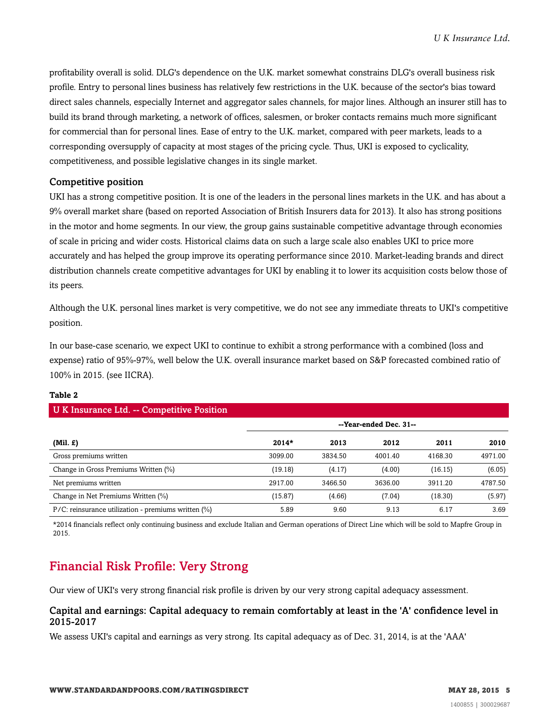profitability overall is solid. DLG's dependence on the U.K. market somewhat constrains DLG's overall business risk profile. Entry to personal lines business has relatively few restrictions in the U.K. because of the sector's bias toward direct sales channels, especially Internet and aggregator sales channels, for major lines. Although an insurer still has to build its brand through marketing, a network of offices, salesmen, or broker contacts remains much more significant for commercial than for personal lines. Ease of entry to the U.K. market, compared with peer markets, leads to a corresponding oversupply of capacity at most stages of the pricing cycle. Thus, UKI is exposed to cyclicality, competitiveness, and possible legislative changes in its single market.

#### Competitive position

UKI has a strong competitive position. It is one of the leaders in the personal lines markets in the U.K. and has about a 9% overall market share (based on reported Association of British Insurers data for 2013). It also has strong positions in the motor and home segments. In our view, the group gains sustainable competitive advantage through economies of scale in pricing and wider costs. Historical claims data on such a large scale also enables UKI to price more accurately and has helped the group improve its operating performance since 2010. Market-leading brands and direct distribution channels create competitive advantages for UKI by enabling it to lower its acquisition costs below those of its peers.

Although the U.K. personal lines market is very competitive, we do not see any immediate threats to UKI's competitive position.

In our base-case scenario, we expect UKI to continue to exhibit a strong performance with a combined (loss and expense) ratio of 95%-97%, well below the U.K. overall insurance market based on S&P forecasted combined ratio of 100% in 2015. (see IICRA).

| <b>U K Insurance Ltd. -- Competitive Position</b>         |         |         |                        |         |         |
|-----------------------------------------------------------|---------|---------|------------------------|---------|---------|
|                                                           |         |         | --Year-ended Dec. 31-- |         |         |
| $(Mil. \mathcal{L})$                                      | $2014*$ | 2013    | 2012                   | 2011    | 2010    |
| Gross premiums written                                    | 3099.00 | 3834.50 | 4001.40                | 4168.30 | 4971.00 |
| Change in Gross Premiums Written (%)                      | (19.18) | (4.17)  | (4.00)                 | (16.15) | (6.05)  |
| Net premiums written                                      | 2917.00 | 3466.50 | 3636.00                | 3911.20 | 4787.50 |
| Change in Net Premiums Written (%)                        | (15.87) | (4.66)  | (7.04)                 | (18.30) | (5.97)  |
| $P/C$ : reinsurance utilization - premiums written $(\%)$ | 5.89    | 9.60    | 9.13                   | 6.17    | 3.69    |

#### **Table 2**

\*2014 financials reflect only continuing business and exclude Italian and German operations of Direct Line which will be sold to Mapfre Group in 2015.

# <span id="page-4-0"></span>Financial Risk Profile: Very Strong

Our view of UKI's very strong financial risk profile is driven by our very strong capital adequacy assessment.

#### Capital and earnings: Capital adequacy to remain comfortably at least in the 'A' confidence level in 2015-2017

We assess UKI's capital and earnings as very strong. Its capital adequacy as of Dec. 31, 2014, is at the 'AAA'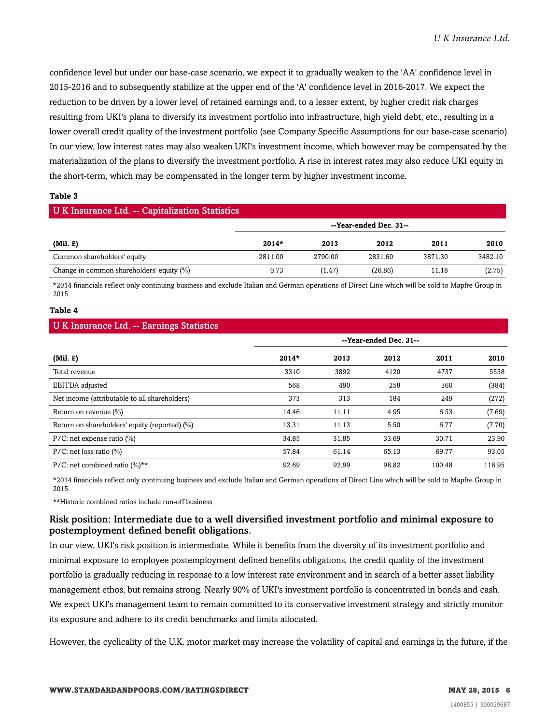confidence level but under our base-case scenario, we expect it to gradually weaken to the 'AA' confidence level in 2015-2016 and to subsequently stabilize at the upper end of the 'A' confidence level in 2016-2017. We expect the reduction to be driven by a lower level of retained earnings and, to a lesser extent, by higher credit risk charges resulting from UKI's plans to diversify its investment portfolio into infrastructure, high yield debt, etc., resulting in a lower overall credit quality of the investment portfolio (see Company Specific Assumptions for our base-case scenario). In our view, low interest rates may also weaken UKI's investment income, which however may be compensated by the materialization of the plans to diversify the investment portfolio. A rise in interest rates may also reduce UKI equity in the short-term, which may be compensated in the longer term by higher investment income.

#### **Table 3**

#### U K Insurance Ltd. -- Capitalization Statistics

|                                           | --Year-ended Dec. 31-- |         |         |         |         |
|-------------------------------------------|------------------------|---------|---------|---------|---------|
| (Mil. f)                                  | $2014*$                | 2013    | 2012    | 2011    | 2010    |
| Common shareholders' equity               | 2811.00                | 2790.00 | 2831.60 | 3871.30 | 3482.10 |
| Change in common shareholders' equity (%) | 0.73                   | (1.47)  | (26.86) | 11.18   | (2.75)  |

\*2014 financials reflect only continuing business and exclude Italian and German operations of Direct Line which will be sold to Mapfre Group in 2015.

#### **Table 4**

#### U K Insurance Ltd. -- Earnings Statistics

| -                                             |                        |       |       |        |        |
|-----------------------------------------------|------------------------|-------|-------|--------|--------|
|                                               | --Year-ended Dec. 31-- |       |       |        |        |
| $(Mil. \mathcal{L})$                          | $2014*$                | 2013  | 2012  | 2011   | 2010   |
| Total revenue                                 | 3310                   | 3892  | 4120  | 4737   | 5538   |
| EBITDA adjusted                               | 568                    | 490   | 258   | 360    | (384)  |
| Net income (attributable to all shareholders) | 373                    | 313   | 184   | 249    | (272)  |
| Return on revenue (%)                         | 14.46                  | 11.11 | 4.95  | 6.53   | (7.69) |
| Return on shareholders' equity (reported) (%) | 13.31                  | 11.13 | 5.50  | 6.77   | (7.70) |
| $P/C$ : net expense ratio $(\%)$              | 34.85                  | 31.85 | 33.69 | 30.71  | 23.90  |
| $P/C$ : net loss ratio $\binom{0}{0}$         | 57.84                  | 61.14 | 65.13 | 69.77  | 93.05  |
| P/C: net combined ratio $(\%)^*$              | 92.69                  | 92.99 | 98.82 | 100.48 | 116.95 |

\*2014 financials reflect only continuing business and exclude Italian and German operations of Direct Line which will be sold to Mapfre Group in 2015.

\*\*Historic combined ratios include run-off business.

#### Risk position: Intermediate due to a well diversified investment portfolio and minimal exposure to postemployment defined benefit obligations.

In our view, UKI's risk position is intermediate. While it benefits from the diversity of its investment portfolio and minimal exposure to employee postemployment defined benefits obligations, the credit quality of the investment portfolio is gradually reducing in response to a low interest rate environment and in search of a better asset liability management ethos, but remains strong. Nearly 90% of UKI's investment portfolio is concentrated in bonds and cash. We expect UKI's management team to remain committed to its conservative investment strategy and strictly monitor its exposure and adhere to its credit benchmarks and limits allocated.

However, the cyclicality of the U.K. motor market may increase the volatility of capital and earnings in the future, if the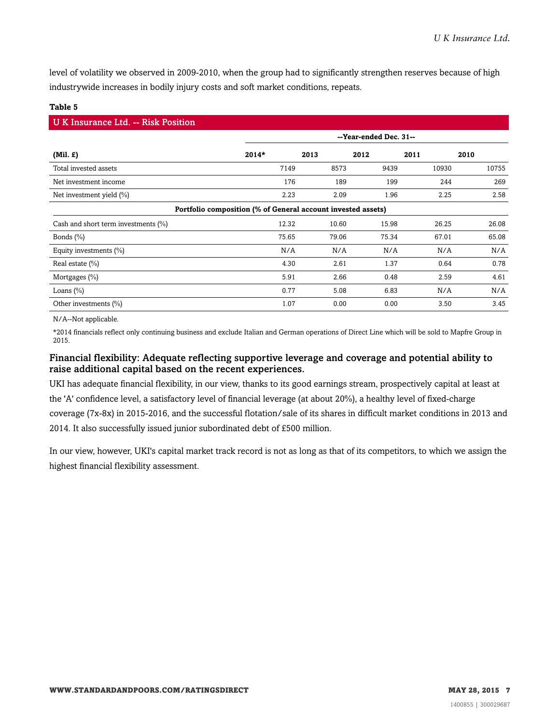level of volatility we observed in 2009-2010, when the group had to significantly strengthen reserves because of high industrywide increases in bodily injury costs and soft market conditions, repeats.

#### **Table 5**

| <b>UK Insurance Ltd. -- Risk Position</b>                    |                        |       |       |       |       |
|--------------------------------------------------------------|------------------------|-------|-------|-------|-------|
|                                                              | --Year-ended Dec. 31-- |       |       |       |       |
| $(Mil. \mathcal{L})$                                         | $2014*$                | 2013  | 2012  | 2011  | 2010  |
| Total invested assets                                        | 7149                   | 8573  | 9439  | 10930 | 10755 |
| Net investment income                                        | 176                    | 189   | 199   | 244   | 269   |
| Net investment yield $(\%)$                                  | 2.23                   | 2.09  | 1.96  | 2.25  | 2.58  |
| Portfolio composition (% of General account invested assets) |                        |       |       |       |       |
| Cash and short term investments (%)                          | 12.32                  | 10.60 | 15.98 | 26.25 | 26.08 |
| Bonds $(\% )$                                                | 75.65                  | 79.06 | 75.34 | 67.01 | 65.08 |
| Equity investments $(\% )$                                   | N/A                    | N/A   | N/A   | N/A   | N/A   |
| Real estate $(\% )$                                          | 4.30                   | 2.61  | 1.37  | 0.64  | 0.78  |
| Mortgages $(\% )$                                            | 5.91                   | 2.66  | 0.48  | 2.59  | 4.61  |
| Loans $(\%)$                                                 | 0.77                   | 5.08  | 6.83  | N/A   | N/A   |
| Other investments (%)                                        | 1.07                   | 0.00  | 0.00  | 3.50  | 3.45  |

N/A--Not applicable.

\*2014 financials reflect only continuing business and exclude Italian and German operations of Direct Line which will be sold to Mapfre Group in 2015.

#### Financial flexibility: Adequate reflecting supportive leverage and coverage and potential ability to raise additional capital based on the recent experiences.

UKI has adequate financial flexibility, in our view, thanks to its good earnings stream, prospectively capital at least at the 'A' confidence level, a satisfactory level of financial leverage (at about 20%), a healthy level of fixed-charge coverage (7x-8x) in 2015-2016, and the successful flotation/sale of its shares in difficult market conditions in 2013 and 2014. It also successfully issued junior subordinated debt of £500 million.

In our view, however, UKI's capital market track record is not as long as that of its competitors, to which we assign the highest financial flexibility assessment.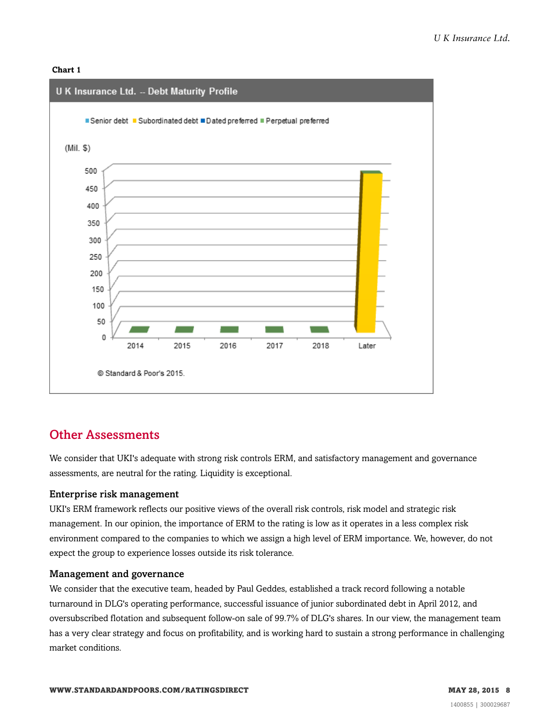#### **Chart 1**



### <span id="page-7-0"></span>Other Assessments

We consider that UKI's adequate with strong risk controls ERM, and satisfactory management and governance assessments, are neutral for the rating. Liquidity is exceptional.

#### Enterprise risk management

UKI's ERM framework reflects our positive views of the overall risk controls, risk model and strategic risk management. In our opinion, the importance of ERM to the rating is low as it operates in a less complex risk environment compared to the companies to which we assign a high level of ERM importance. We, however, do not expect the group to experience losses outside its risk tolerance.

#### Management and governance

We consider that the executive team, headed by Paul Geddes, established a track record following a notable turnaround in DLG's operating performance, successful issuance of junior subordinated debt in April 2012, and oversubscribed flotation and subsequent follow-on sale of 99.7% of DLG's shares. In our view, the management team has a very clear strategy and focus on profitability, and is working hard to sustain a strong performance in challenging market conditions.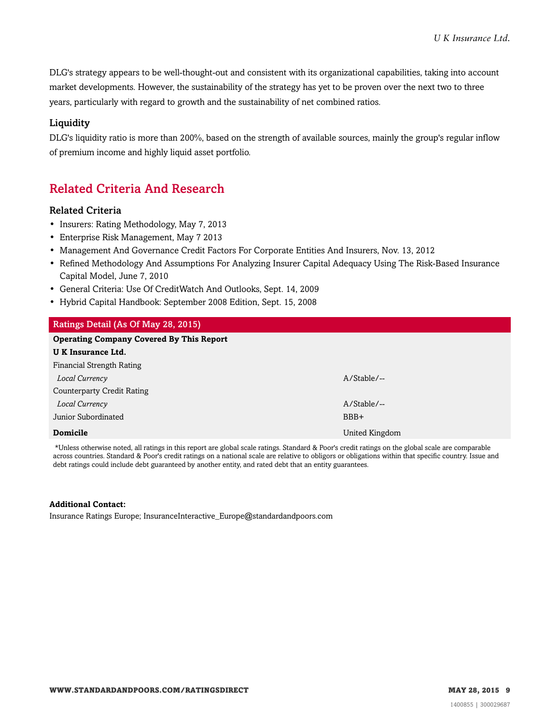DLG's strategy appears to be well-thought-out and consistent with its organizational capabilities, taking into account market developments. However, the sustainability of the strategy has yet to be proven over the next two to three years, particularly with regard to growth and the sustainability of net combined ratios.

#### **Liquidity**

DLG's liquidity ratio is more than 200%, based on the strength of available sources, mainly the group's regular inflow of premium income and highly liquid asset portfolio.

## <span id="page-8-0"></span>Related Criteria And Research

#### Related Criteria

- Insurers: Rating Methodology, May 7, 2013
- Enterprise Risk Management, May 7 2013
- Management And Governance Credit Factors For Corporate Entities And Insurers, Nov. 13, 2012
- Refined Methodology And Assumptions For Analyzing Insurer Capital Adequacy Using The Risk-Based Insurance Capital Model, June 7, 2010
- General Criteria: Use Of CreditWatch And Outlooks, Sept. 14, 2009
- Hybrid Capital Handbook: September 2008 Edition, Sept. 15, 2008

| Ratings Detail (As Of May 28, 2015)             |                |  |  |  |
|-------------------------------------------------|----------------|--|--|--|
| <b>Operating Company Covered By This Report</b> |                |  |  |  |
| <b>UK Insurance Ltd.</b>                        |                |  |  |  |
| Financial Strength Rating                       |                |  |  |  |
| Local Currency                                  | $A/Stable/$ -- |  |  |  |
| <b>Counterparty Credit Rating</b>               |                |  |  |  |
| Local Currency                                  | $A/Stable/$ -- |  |  |  |
| Junior Subordinated                             | BBB+           |  |  |  |
| <b>Domicile</b>                                 | United Kingdom |  |  |  |

\*Unless otherwise noted, all ratings in this report are global scale ratings. Standard & Poor's credit ratings on the global scale are comparable across countries. Standard & Poor's credit ratings on a national scale are relative to obligors or obligations within that specific country. Issue and debt ratings could include debt guaranteed by another entity, and rated debt that an entity guarantees.

#### **Additional Contact:**

Insurance Ratings Europe; InsuranceInteractive\_Europe@standardandpoors.com